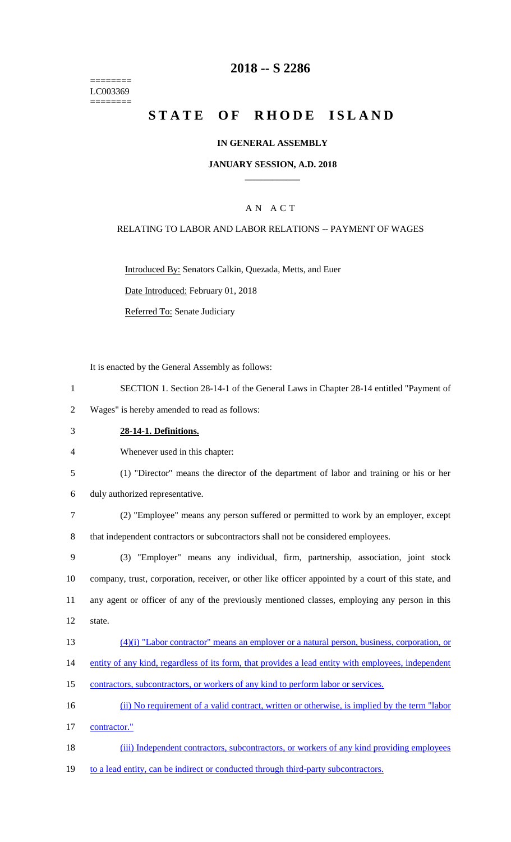======== LC003369 ========

# **2018 -- S 2286**

# **STATE OF RHODE ISLAND**

### **IN GENERAL ASSEMBLY**

#### **JANUARY SESSION, A.D. 2018 \_\_\_\_\_\_\_\_\_\_\_\_**

## A N A C T

### RELATING TO LABOR AND LABOR RELATIONS -- PAYMENT OF WAGES

Introduced By: Senators Calkin, Quezada, Metts, and Euer

Date Introduced: February 01, 2018

Referred To: Senate Judiciary

It is enacted by the General Assembly as follows:

1 SECTION 1. Section 28-14-1 of the General Laws in Chapter 28-14 entitled "Payment of

2 Wages" is hereby amended to read as follows:

3 **28-14-1. Definitions.**

4 Whenever used in this chapter:

- 5 (1) "Director" means the director of the department of labor and training or his or her
- 6 duly authorized representative.
- 7 (2) "Employee" means any person suffered or permitted to work by an employer, except 8 that independent contractors or subcontractors shall not be considered employees.
- 9 (3) "Employer" means any individual, firm, partnership, association, joint stock 10 company, trust, corporation, receiver, or other like officer appointed by a court of this state, and 11 any agent or officer of any of the previously mentioned classes, employing any person in this 12 state.
- 13 (4)(i) "Labor contractor" means an employer or a natural person, business, corporation, or
- 14 entity of any kind, regardless of its form, that provides a lead entity with employees, independent
- 15 contractors, subcontractors, or workers of any kind to perform labor or services.
- 16 (ii) No requirement of a valid contract, written or otherwise, is implied by the term "labor

17 contractor."

- 18 (iii) Independent contractors, subcontractors, or workers of any kind providing employees
- 19 to a lead entity, can be indirect or conducted through third-party subcontractors.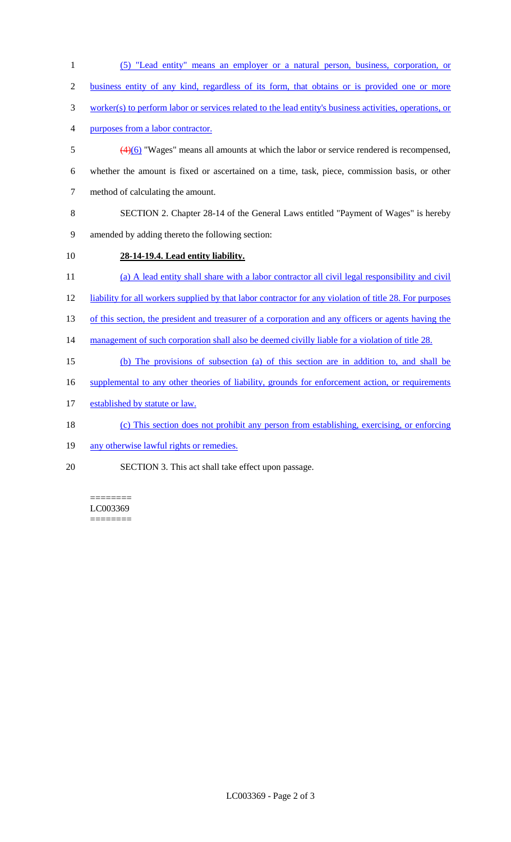| $\mathbf{1}$   | (5) "Lead entity" means an employer or a natural person, business, corporation, or                          |
|----------------|-------------------------------------------------------------------------------------------------------------|
| $\overline{2}$ | business entity of any kind, regardless of its form, that obtains or is provided one or more                |
| 3              | worker(s) to perform labor or services related to the lead entity's business activities, operations, or     |
| 4              | purposes from a labor contractor.                                                                           |
| 5              | $\left(\frac{4}{6}\right)$ "Wages" means all amounts at which the labor or service rendered is recompensed, |
| 6              | whether the amount is fixed or ascertained on a time, task, piece, commission basis, or other               |
| $\tau$         | method of calculating the amount.                                                                           |
| 8              | SECTION 2. Chapter 28-14 of the General Laws entitled "Payment of Wages" is hereby                          |
| 9              | amended by adding thereto the following section:                                                            |
| 10             | 28-14-19.4. Lead entity liability.                                                                          |
| 11             | (a) A lead entity shall share with a labor contractor all civil legal responsibility and civil              |
| 12             | liability for all workers supplied by that labor contractor for any violation of title 28. For purposes     |
| 13             | of this section, the president and treasurer of a corporation and any officers or agents having the         |
| 14             | management of such corporation shall also be deemed civilly liable for a violation of title 28.             |
| 15             | (b) The provisions of subsection (a) of this section are in addition to, and shall be                       |
| 16             | supplemental to any other theories of liability, grounds for enforcement action, or requirements            |
| 17             | established by statute or law.                                                                              |
| 18             | (c) This section does not prohibit any person from establishing, exercising, or enforcing                   |
| 19             | any otherwise lawful rights or remedies.                                                                    |
| 20             | SECTION 3. This act shall take effect upon passage.                                                         |
|                |                                                                                                             |

======== LC003369 ========